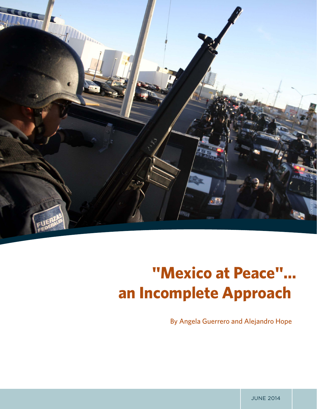

# **"Mexico at Peace"… an Incomplete Approach**

By Angela Guerrero and Alejandro Hope

JUNE 2014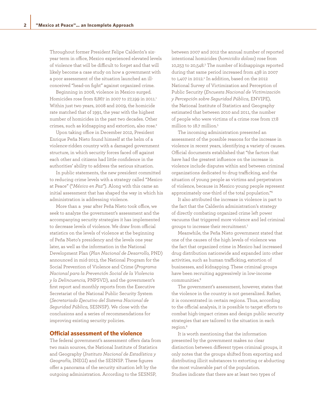Throughout former President Felipe Calderón's sixyear term in office, Mexico experienced elevated levels of violence that will be difficult to forget and that will likely become a case study on how a government with a poor assessment of the situation launched an illconceived "head-on fight" against organized crime.

Beginning in 2008, violence in Mexico surged. Homicides rose from 8,867 in 2007 to 27,199 in 2011.<sup>1</sup> Within just two years, 2008 and 2009, the homicide rate matched that of 1991, the year with the highest number of homicides in the past two decades. Other crimes, such as kidnapping and extortion, also rose.<sup>2</sup>

Upon taking office in December 2012, President Enrique Peña Nieto found himself at the helm of a violence-ridden country with a damaged government structure, in which security forces faced off against each other and citizens had little confidence in the authorities' ability to address the serious situation.

In public statements, the new president committed to reducing crime levels with a strategy called "Mexico at Peace" ("*México en Paz*"). Along with this came an initial assessment that has shaped the way in which his administration is addressing violence.

More than a year after Peña Nieto took office, we seek to analyze the government's assessment and the accompanying security strategies it has implemented to decrease levels of violence. We draw from official statistics on the levels of violence at the beginning of Peña Nieto's presidency and the levels one year later, as well as the information in the National Development Plan (*Plan Nacional de Desarrollo,* PND) announced in mid-2013, the National Program for the Social Prevention of Violence and Crime (*Programa Nacional para la Prevención Social de la Violencia y la Delincuencia,* PNPSVD), and the government's first report and monthly reports from the Executive Secretariat of the National Public Security System (*Secretariado Ejecutivo del Sistema Nacional de Seguridad Pública,* SESNSP). We close with the conclusions and a series of recommendations for improving existing security policies.

#### **Official assessment of the violence**

The federal government's assessment offers data from two main sources, the National Institute of Statistics and Geography (*Instituto Nacional de Estadística y Geografía,* INEGI) and the SESNSP. These figures offer a panorama of the security situation left by the outgoing administration. According to the SESNSP,

between 2007 and 2012 the annual number of reported intentional homicides (*homicidio doloso*) rose from 10,253 to 20,548.3 The number of kidnappings reported during that same period increased from 438 in 2007 to 1,407 in 2012.4 In addition, based on the 2012 National Survey of Victimization and Perception of Public Security (*Encuesta Nacional de Victimización y Percepción sobre Seguridad Pública,* ENVIPE), the National Institute of Statistics and Geography estimated that between 2010 and 2011, the number of people who were victims of a crime rose from 17.8 million to 18.7 million.5

The incoming administration presented an assessment of the possible reasons for the increase in violence in recent years, identifying a variety of causes. Official documents established that "the factors that have had the greatest influence on the increase in violence include disputes within and between criminal organizations dedicated to drug trafficking, and the situation of young people as victims and perpetrators of violence, because in Mexico young people represent approximately one-third of the total population."6

It also attributed the increase in violence in part to the fact that the Calderón administration's strategy of directly combating organized crime left power vacuums that triggered more violence and led criminal groups to increase their recruitment.7

Meanwhile, the Peña Nieto government stated that one of the causes of the high levels of violence was the fact that organized crime in Mexico had increased drug distribution nationwide and expanded into other activities, such as human trafficking, extortion of businesses, and kidnapping. These criminal groups have been recruiting aggressively in low-income communities<sup>8</sup>

The government's assessment, however, states that the violence in the country is not generalized. Rather, it is concentrated in certain regions. Thus, according to the official analysis, it is possible to target efforts to combat high-impact crimes and design public security strategies that are tailored to the situation in each region.9

It is worth mentioning that the information presented by the government makes no clear distinction between different types criminal groups, it only notes that the groups shifted from exporting and distributing illicit substances to extorting or abducting the most vulnerable part of the population. Studies indicate that there are at least two types of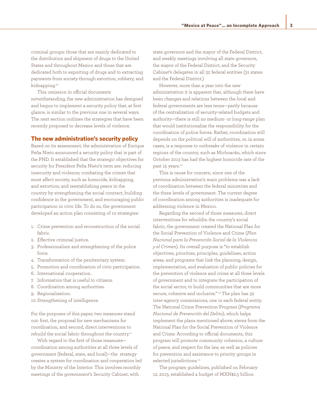criminal groups: those that are mainly dedicated to the distribution and shipment of drugs to the United States and throughout Mexico and those that are dedicated both to exporting of drugs and to extracting payments from society through extortion, robbery, and kidnapping.10

This omission in official documents notwithstanding, the new administration has designed and begun to implement a security policy that, at first glance, is similar to the previous one in several ways. The next section outlines the strategies that have been recently proposed to decrease levels of violence.

#### **The new administration's security policy**

Based on its assessment, the administration of Enrique Peña Nieto announced a security policy that is part of the PND. It established that the strategic objectives for security for President Peña Nieto's term are: reducing insecurity and violence; combating the crimes that most affect society, such as homicide, kidnapping, and extortion; and reestablishing peace in the country by strengthening the social contract, building confidence in the government, and encouraging public participation in civic life. To do so, the government developed an action plan consisting of 10 strategies:

- 1. Crime prevention and reconstruction of the social fabric.
- 2. Effective criminal justice.
- 3. Professionalism and strengthening of the police force.
- 4. Transformation of the penitentiary system.
- 5. Promotion and coordination of civic participation.
- 6. International cooperation.
- 7. Information that is useful to citizens.
- 8. Coordination among authorities.
- 9. Regionalization.
- 10. Strengthening of intelligence.

For the purposes of this paper, two measures stand out: first, the proposal for new mechanisms for coordination, and second, direct interventions to rebuild the social fabric throughout the country.<sup>11</sup>

With regard to the first of those measures coordination among authorities at all three levels of government (federal, state, and local)—the strategy creates a system for coordination and cooperation led by the Ministry of the Interior. This involves monthly meetings of the government's Security Cabinet, with

state governors and the mayor of the Federal District, and weekly meetings involving all state governors, the mayor of the Federal District, and the Security Cabinet's delegates in all 32 federal entities (31 states and the Federal District.)

However, more than a year into the new administration it is apparent that, although there have been changes and relations between the local and federal governments are less tense—partly because of the centralization of security-related budgets and authority—there is still no medium- or long-range plan that would institutionalize the responsibility for the coordination of police forces. Rather, coordination still depends on the political will of authorities, or, in some cases, is a response to outbreaks of violence in certain regions of the country, such as Michoacán, which since October 2013 has had the highest homicide rate of the past 15 years.<sup>12</sup>

This is cause for concern, since one of the previous administration's main problems was a lack of coordination between the federal ministries and the three levels of government. The current degree of coordination among authorities is inadequate for addressing violence in Mexico.

Regarding the second of those measures, direct interventions for rebuildin the country's social fabric, the government created the National Plan for the Social Prevention of Violence and Crime (*Plan Nacional para la Prevención Social de la Violencia y el Crimen*). Its overall purpose is "to establish objectives, priorities, principles, guidelines, action areas, and programs that link the planning, design, implementation, and evaluation of public policies for the prevention of violence and crime at all three levels of government and to integrate the participation of the social sector, to build communities that are more secure, cohesive and inclusive." 13 The plan has 32 inter-agency commissions, one in each federal entity. The National Crime Prevention Program (*Programa Nacional de Prevención del Delito*), which helps implement the plans mentioned above, stems from the National Plan for the Social Prevention of Violence and Crime. According to official documents, this program will promote community cohesion, a culture of peace, and respect for the law, as well as policies for prevention and assistance to priority groups in selected jurisdictions.<sup>14</sup>

The program guidelines, published on February 12, 2013, established a budget of MXN\$2.5 billion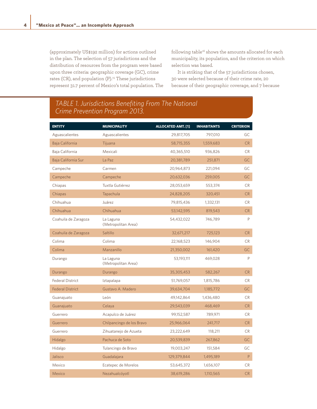(approximately US\$192 million) for actions outlined in the plan. The selection of 57 jurisdictions and the distribution of resources from the program were based upon three criteria: geographic coverage (GC), crime rates (CR), and population (P).<sup>15</sup> These jurisdictions represent 31.7 percent of Mexico's total population. The following table<sup>16</sup> shows the amounts allocated for each municipality, its population, and the criterion on which selection was based.

It is striking that of the 57 jurisdictions chosen, 30 were selected because of their crime rate, 20 because of their geographic coverage, and 7 because

## *TABLE 1. Jurisdictions Benefiting From The National Crime Prevention Program 2013.*

| <b>ENTITY</b>           | <b>MUNICIPALITY</b>              | <b>ALLOCATED AMT. [1]</b> | <b>INHABITANTS</b> | <b>CRITERION</b> |
|-------------------------|----------------------------------|---------------------------|--------------------|------------------|
| Aguascalientes          | Aguascalientes                   | 29,817,705                | 797,010            | GC               |
| Baja California         | Tijuana                          | 58,715,355                | 1,559,683          | <b>CR</b>        |
| Baja California         | Mexicali                         | 40,365,510                | 936,826            | <b>CR</b>        |
| Baja California Sur     | La Paz                           | 20,381,789                | 251,871            | GC               |
| Campeche                | Carmen                           | 20,964,873                | 221,094            | GC               |
| Campeche                | Campeche                         | 20,632,036                | 259,005            | <b>GC</b>        |
| Chiapas                 | Tuxtla Gutiérrez                 | 28,053,659                | 553,374            | <b>CR</b>        |
| Chiapas                 | Tapachula                        | 24,828,205                | 320,451            | <b>CR</b>        |
| Chihuahua               | Juárez                           | 79,815,436                | 1,332,131          | <b>CR</b>        |
| Chihuahua               | Chihuahua                        | 53,142,595                | 819,543            | <b>CR</b>        |
| Coahuila de Zaragoza    | La Laguna<br>(Metropolitan Area) | 54,432,022                | 746,789            | P                |
| Coahuila de Zaragoza    | Saltillo                         | 32,671,217                | 725,123            | <b>CR</b>        |
| Colima                  | Colima                           | 22,168,523                | 146,904            | CR.              |
| Colima                  | Manzanillo                       | 21,350,002                | 161,420            | GC               |
| Durango                 | La Laguna<br>(Metropolitan Area) | 53,193,111                | 469,028            | P                |
| Durango                 | Durango                          | 35,305,453                | 582,267            | <b>CR</b>        |
| <b>Federal District</b> | Iztapalapa                       | 51,769,057                | 1,815,786          | <b>CR</b>        |
| <b>Federal District</b> | Gustavo A. Madero                | 39,634,704                | 1,185,772          | GC               |
| Guanajuato              | León                             | 49,142,864                | 1,436,480          | <b>CR</b>        |
| Guanajuato              | Celaya                           | 29,543,039                | 468,469            | <b>CR</b>        |
| Guerrero                | Acapulco de Juárez               | 99,152,587                | 789,971            | <b>CR</b>        |
| Guerrero                | Chilpancingo de los Bravo        | 25,966,064                | 241,717            | <b>CR</b>        |
| Guerrero                | Zihuatanejo de Azueta            | 23,222,649                | 118,211            | <b>CR</b>        |
| Hidalgo                 | Pachuca de Soto                  | 20,539,839                | 267,862            | <b>GC</b>        |
| Hidalgo                 | Tulancingo de Bravo              | 19,003,247                | 151,584            | GC               |
| Jalisco                 | Guadalajara                      | 129,379,844               | 1,495,189          | P                |
| Mexico                  | Ecatepec de Morelos              | 53,645,372                | 1,656,107          | CR.              |
| <b>Mexico</b>           | Nezahualcóyotl                   | 38,619,286                | 1,110,565          | <b>CR</b>        |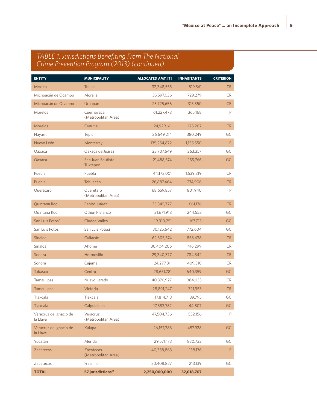## *TABLE 1. Jurisdictions Benefiting From The National Crime Prevention Program (2013) (continued)*

| <b>ENTITY</b>                      | <b>MUNICIPALITY</b>               | <b>ALLOCATED AMT. [1]</b> | <b>INHABITANTS</b> | <b>CRITERION</b> |
|------------------------------------|-----------------------------------|---------------------------|--------------------|------------------|
| Mexico                             | Toluca                            | 32,348,555                | 819,561            | CR               |
| Michoacán de Ocampo                | Morelia                           | 35,597,036                | 729,279            | <b>CR</b>        |
| Michoacán de Ocampo                | Uruapan                           | 23,725,656                | 315,350            | <b>CR</b>        |
| Morelos                            | Cuernavaca<br>(Metropolitan Area) | 61,227,478                | 365,168            | P                |
| Morelos                            | Cuautla                           | 24,929,611                | 175,207            | CR               |
| Nayarit                            | <b>Tepic</b>                      | 26,649,214                | 380,249            | GC               |
| Nuevo León                         | Monterrey                         | 135,254,872               | 1,135,550          | $\mathsf{P}$     |
| Oaxaca                             | Oaxaca de Juárez                  | 23,707,649                | 263,357            | GC               |
| Oaxaca                             | San Juan Bautista<br>Tuxtepec     | 21,488,574                | 155,766            | GC               |
| Puebla                             | Puebla                            | 44,173,001                | 1,539,819          | <b>CR</b>        |
| Puebla                             | Tehuacán                          | 26,887,464                | 274,906            | CR               |
| Querétaro                          | Querétaro<br>(Metropolitan Area)  | 68,659,857                | 801,940            | $\mathsf{P}$     |
| Quintana Roo                       | Benito Juárez                     | 35, 345, 777              | 661,176            | <b>CR</b>        |
| Quintana Roo                       | Othón P Blanco                    | 21,671,918                | 244,553            | GC               |
| San Luis Potosí                    | <b>Ciudad Valles</b>              | 19,310,251                | 167,713            | GC               |
| San Luis Potosí                    | San Luis Potosí                   | 30,125,642                | 772,604            | GC               |
| Sinaloa                            | Culiacán                          | 62,305,574                | 858,638            | CR               |
| Sinaloa                            | Ahome                             | 30,404,206                | 416,299            | <b>CR</b>        |
| Sonora                             | Hermosillo                        | 29,340,377                | 784,342            | <b>CR</b>        |
| Sonora                             | Cajeme                            | 24,277,811                | 409,310            | <b>CR</b>        |
| <b>Tabasco</b>                     | Centro                            | 28,651,781                | 640,359            | <b>GC</b>        |
| <b>Tamaulipas</b>                  | Nuevo Laredo                      | 40,370,927                | 384,033            | <b>CR</b>        |
| <b>Tamaulipas</b>                  | Victoria                          | 28,891,247                | 321,953            | CR               |
| Tlaxcala                           | Tlaxcala                          | 17,814,713                | 89,795             | GC               |
| Tlaxcala                           | Calpulalpan                       | 17,383,782                | 44,807             | GC               |
| Veracruz de Ignacio de<br>la Llave | Veracruz<br>(Metropolitan Area)   | 47,504,736                | 552,156            | P                |
| Veracruz de Ignacio de<br>la Llave | Xalapa                            | 26,157,383                | 457,928            | GC               |
| Yucatán                            | Mérida                            | 29,571,173                | 830,732            | GC               |
| <b>Zacatecas</b>                   | Zacatecas<br>(Metropolitan Area)  | 40,358,863                | 138,176            | P                |
| Zacatecas                          | Fresnillo                         | 20,408,827                | 213,139            | GC               |
| <b>TOTAL</b>                       | 57 jurisdictions <sup>17</sup>    | 2,250,000,000             | 32,018,707         |                  |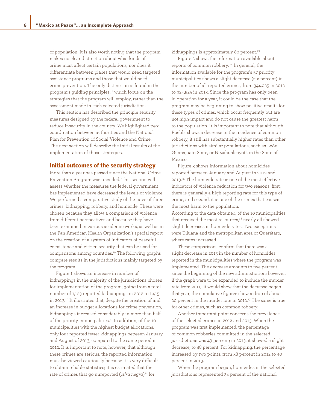of population. It is also worth noting that the program makes no clear distinction about what kinds of crime most affect certain populations, nor does it differentiate between places that would need targeted assistance programs and those that would need crime prevention. The only distinction is found in the program's guiding principles,<sup>18</sup> which focus on the strategies that the program will employ, rather than the assessment made in each selected jurisdiction.

This section has described the principle security measures designed by the federal government to reduce insecurity in the country. We highlighted two: coordination between authorities and the National Plan for Prevention of Social Violence and Crime. The next section will describe the initial results of the implementation of those strategies.

#### **Initial outcomes of the security strategy**

More than a year has passed since the National Crime Prevention Program was unveiled. This section will assess whether the measures the federal government has implemented have decreased the levels of violence. We performed a comparative study of the rates of three crimes: kidnapping, robbery, and homicide. These were chosen because they allow a comparison of violence from different perspectives and because they have been examined in various academic works, as well as in the Pan-American Health Organization's special report on the creation of a system of indicators of peaceful coexistence and citizen security that can be used for comparisons among countries.19 The following graphs compare results in the jurisdictions mainly targeted by the program.

Figure 1 shows an increase in number of kidnappings in the majority of the jurisdictions chosen for implementation of the program, going from a total number of 1,123 reported kidnappings in 2012 to 1,415 in 2013.<sup>20</sup> It illustrates that, despite the creation of and an increase in budget allocations for crime prevention, kidnappings increased considerably in more than half of the priority municipalities.<sup>21</sup> In addition, of the 10 municipalities with the highest budget allocations, only four reported fewer kidnappings between January and August of 2013, compared to the same period in 2012. It is important to note, however, that although these crimes are serious, the reported information must be viewed cautiously because it is very difficult to obtain reliable statistics; it is estimated that the rate of crimes that go unreported (*cifra negra*) 22 for

kidnappings is approximately 80 percent.<sup>23</sup>

Figure 2 shows the information available about reports of common robbery. 24 In general, the information available for the program's 57 priority municipalities shows a slight decrease (six percent) in the number of all reported crimes, from 344,025 in 2012 to 324,925 in 2013. Since the program has only been in operation for a year, it could be the case that the program may be beginning to show positive results for these types of crimes, which occur frequently but are not high-impact and do not cause the greatest harm to the population. It is important to note that although Puebla shows a decrease in the incidence of common robbery, it still has substantially higher rates than other jurisdictions with similar populations, such as León, Guanajuato State, or Nezahualcoyotl, in the State of Mexico.

Figure 3 shows information about homicides reported between January and August in 2012 and 2013.25 The homicide rate is one of the most effective indicators of violence reduction for two reasons: first, there is generally a high reporting rate for this type of crime, and second, it is one of the crimes that causes the most harm to the population.

According to the data obtained, of the 10 municipalities that received the most resources,<sup>26</sup> nearly all showed slight decreases in homicide rates. Two exceptions were Tijuana and the metropolitan area of Querétaro, where rates increased.

These comparisons confirm that there was a slight decrease in 2013 in the number of homicides reported in the municipalities where the program was implemented. The decrease amounts to five percent since the beginning of the new administration; however, if the graph were to be expanded to include the murder rate from 2011, it would show that the decrease began that year; the cumulative figures show a drop of about 20 percent in the murder rate in 2012.<sup>27</sup> The same is true for other crimes, such as common robbery.

Another important point concerns the prevalence of the selected crimes in 2012 and 2013. When the program was first implemented, the percentage of common robberies committed in the selected jurisdictions was 49 percent; in 2013, it showed a slight decrease, to 48 percent. For kidnapping, the percentage increased by two points, from 38 percent in 2012 to 40 percent in 2013.

When the program began, homicides in the selected jurisdictions represented 34 percent of the national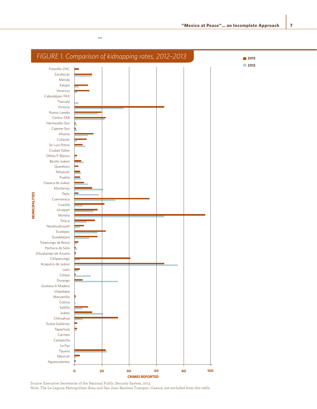

Source: Executive Secretariat of the National Public Security System, 2013. Note: The La Laguna Metropolitan Area and San Juan Bautista Tuxtepec, Oaxaca, are excluded from this table.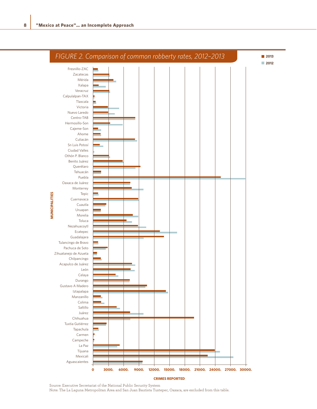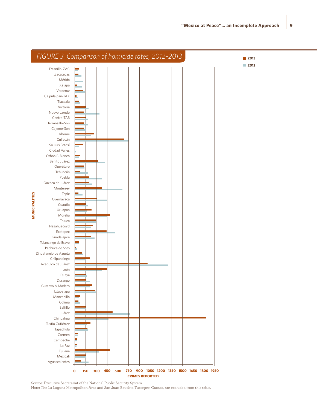

Source: Executive Secretariat of the National Public Security System Note: The La Laguna Metropolitan Area and San Juan Bautista Tuxtepec, Oaxaca, are excluded from this table.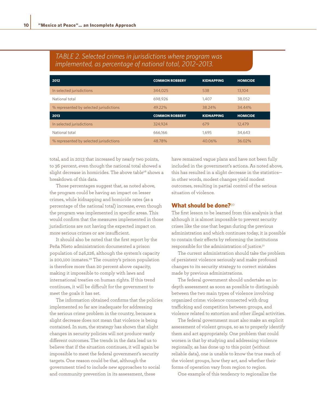| 2012                                    | <b>COMMON ROBBERY</b> | <b>KIDNAPPING</b> | <b>HOMICIDE</b> |
|-----------------------------------------|-----------------------|-------------------|-----------------|
| In selected jurisdictions               | 344.025               | 538               | 13.104          |
| National total                          | 698.926               | 1.407             | 38,052          |
| % represented by selected jurisdictions | 49.22%                | 38.24%            | 34.44%          |
| 2013                                    | <b>COMMON ROBBERY</b> | <b>KIDNAPPING</b> | <b>HOMICIDE</b> |
| In selected jurisdictions               | 324.924               | 679               | 12.479          |
| National total                          | 666.166               | 1.695             | 34,643          |
| % represented by selected jurisdictions | 48.78%                | 40.06%            | 36.02%          |

### *TABLE 2. Selected crimes in jurisdictions where program was implemented, as percentage of national total, 2012–2013.*

total, and in 2013 that increased by nearly two points, to 36 percent, even though the national total showed a slight decrease in homicides. The above table<sup>28</sup> shows a breakdown of this data.

Those percentages suggest that, as noted above, the program could be having an impact on lesser crimes, while kidnapping and homicide rates (as a percentage of the national total) increase, even though the program was implemented in specific areas. This would confirm that the measures implemented in those jurisdictions are not having the expected impact on more serious crimes or are insufficient.

It should also be noted that the first report by the Peña Nieto administration documented a prison population of 246,226, although the system's capacity is 200,100 inmates.<sup>29</sup> The country's prison population is therefore more than 20 percent above capacity, making it impossible to comply with laws and international treaties on human rights. If this trend continues, it will be difficult for the government to meet the goals it has set.

The information obtained confirms that the policies implemented so far are inadequate for addressing the serious crime problem in the country, because a slight decrease does not mean that violence is being contained. In sum, the strategy has shown that slight changes in security policies will not produce vastly different outcomes. The trends in the data lead us to believe that if the situation continues, it will again be impossible to meet the federal government's security targets. One reason could be that, although the government tried to include new approaches to social and community prevention in its assessment, these

have remained vague plans and have not been fully included in the government's actions. As noted above, this has resulted in a slight decrease in the statistics in other words, modest changes yield modest outcomes, resulting in partial control of the serious situation of violence.

#### **What should be done?**<sup>30</sup>

The first lesson to be learned from this analysis is that although it is almost impossible to prevent security crises like the one that began during the previous administration and which continues today, it is possible to contain their effects by reforming the institutions responsible for the administration of justice.<sup>31</sup>

The current administration should take the problem of persistent violence seriously and make profound changes to its security strategy to correct mistakes made by previous administrations.

The federal government should undertake an indepth assessment as soon as possible to distinguish between the two main types of violence involving organized crime: violence connected with drug trafficking and competition between groups, and violence related to extortion and other illegal activities.

The federal government must also make an explicit assessment of violent groups, so as to properly identify them and act appropriately. One problem that could worsen is that by studying and addressing violence regionally, as has done up to this point (without reliable data), one is unable to know the true reach of the violent groups, how they act, and whether their forms of operation vary from region to region.

One example of this tendency to regionalize the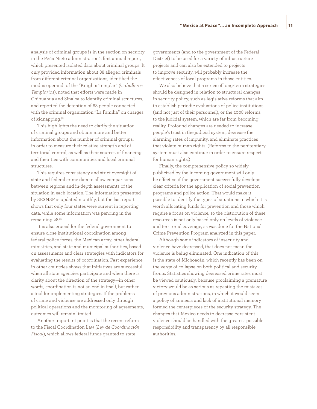analysis of criminal groups is in the section on security in the Peña Nieto administration's first annual report, which presented isolated data about criminal groups. It only provided information about 88 alleged criminals from different criminal organizations, identified the modus operandi of the "Knights Templar" (C*aballeros Templarios*), noted that efforts were made in Chihuahua and Sinaloa to identify criminal structures, and reported the detention of 68 people connected with the criminal organization "La Familia" on charges of kidnapping.32

This highlights the need to clarify the situation of criminal groups and obtain more and better information about the number of criminal groups, in order to measure their relative strength and of territorial control, as well as their sources of financing and their ties with communities and local criminal structures.

This requires consistency and strict oversight of state and federal crime data to allow comparisons between regions and in-depth assessments of the situation in each location. The information presented by SESNSP is updated monthly, but the last report shows that only four states were current in reporting data, while some information was pending in the remaining 28.33

It is also crucial for the federal government to ensure close institutional coordination among federal police forces, the Mexican army, other federal ministries, and state and municipal authorities, based on assessments and clear strategies with indicators for evaluating the results of coordination. Past experience in other countries shows that initiatives are successful when all state agencies participate and when there is clarity about the direction of the strategy—in other words, coordination is not an end in itself, but rather a tool for implementing strategies. If the problems of crime and violence are addressed only through political operations and the monitoring of agreements, outcomes will remain limited.

Another important point is that the recent reform to the Fiscal Coordination Law (*Ley de Coordinación Fiscal*), which allows federal funds granted to state

governments (and to the government of the Federal District) to be used for a variety of infrastructure projects and can also be extended to projects to improve security, will probably increase the effectiveness of local programs in those entities.

We also believe that a series of long-term strategies should be designed in relation to structural changes in security policy, such as legislative reforms that aim to establish periodic evaluations of police institutions (and not just of their personnel), or the 2008 reforms to the judicial system, which are far from becoming reality. Profound changes are needed to increase people's trust in the judicial system, decrease the alarming rates of impunity, and eliminate practices that violate human rights. (Reforms to the penitentiary system must also continue in order to ensure respect for human rights.)

Finally, the comprehensive policy so widely publicized by the incoming government will only be effective if the government successfully develops clear criteria for the application of social prevention programs and police action. That would make it possible to identify the types of situations in which it is worth allocating funds for prevention and those which require a focus on violence, so the distribution of these resources is not only based only on levels of violence and territorial coverage, as was done for the National Crime Prevention Program analyzed in this paper.

Although some indicators of insecurity and violence have decreased, that does not mean the violence is being eliminated. One indication of this is the state of Michoacán, which recently has been on the verge of collapse on both political and security fronts. Statistics showing decreased crime rates must be viewed cautiously, because proclaiming a premature victory would be as serious as repeating the mistakes of previous administrations, in which it would seem a policy of amnesia and lack of institutional memory formed the centerpieces of the security strategy. The changes that Mexico needs to decrease persistent violence should be handled with the greatest possible responsibility and transparency by all responsible authorities.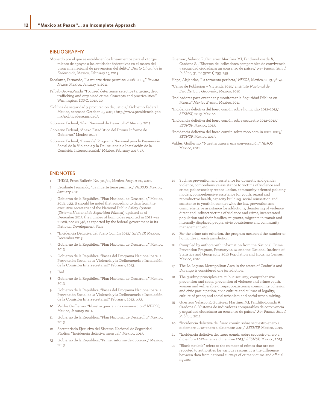#### BIBLIOGRAPHY

- "Acuerdo por el que se establecen los lineamientos para el otorgamiento de apoyos a las entidades federativas en el marco del programa nacional de prevención del delito," *Diario Oficial de la Federación,* Mexico, February 15, 2013.
- Escalante, Fernando, "La muerte tiene permiso: 2008–2009," *Revista Nexos,* Mexico, January 3, 2011.
- Felbab-Brown,Vanda, "Focused deterrence, selective targeting, drug trafficking and organised crime: Concepts and practicalities," Washington, IDPC, 2013, 20.
- "Política de seguridad y procuración de justicia," Gobierno Federal, México, accessed October 25, 2013 : http://www.presidencia.gob. mx/politicadeseguridad/.
- Gobierno Federal, "Plan Nacional de Desarrollo," Mexico, 2013.
- Gobierno Federal, "Anexo Estadístico del Primer Informe de Gobierno," Mexico, 2013
- Gobierno Federal, "Bases del Programa Nacional para la Prevención Social de la Violencia y la Delincuencia e Instalación de la Comisión Intersecretarial," México, February 2013, 17.
- ENDNOTES
- 1 INEGI, Press Bulletin No. 310/12, Mexico, August 20, 2012.
- 2 Escalante Fernando, "La muerte tiene permiso," *NEXOS,* Mexico, January 2011.
- 3 Gobierno de la República, "Plan Nacional de Desarrollo," Mexico, 2013, p.33. It should be noted that according to data from the executive secretariat of the National Public Safety System (*Sistema Nacional de Seguridad Pública*) updated as of December 2013, the number of homicides reported in 2012 was 21,728, not 20,548, as reported by the federal government in its National Development Plan.
- 4 "Incidencia Delictiva del Fuero Común 2012," *SESNSP,* Mexico, December 2013.
- 5 Gobierno de la República, "Plan Nacional de Desarrollo," Mexico, 2013.
- 6 Gobierno de la República, "Bases del Programa Nacional para la Prevención Social de la Violencia y la Delincuencia e Instalación de la Comisión Intersecretarial," February, 2013.
- 7 Ibid.
- 8 Gobierno de la República, "Plan Nacional de Desarrollo," Mexico, 2013.
- 9 Gobierno de la República, "Bases del Programa Nacional para la Prevención Social de la Violencia y la Delincuencia e Instalación de la Comisión Intersecretarial," February, 2013. p.33.
- 10 Valdés Guillermo, "Nuestra guerra: una conversación," *NEXOS,*  Mexico, January 2011.
- 11 Gobierno de la República, "Plan Nacional de Desarrollo," Mexico, 2013.
- 12 Secretariado Ejecutivo del Sistema Nacional de Seguridad Pública, "Incidencia delictiva mensual," Mexico, 2013.
- 13 Gobierno de la República, "Primer informe de gobierno," Mexico, 2013
- Guerrero, Velasco R, Gutiérrez Martínez MI, Fandiño-Losada A, Cardona S. , "Sistema de indicadores comparables de convivencia y seguridad ciudadana: un consenso de países," *Rev Panam Salud Publica,* 31, no.3(2011):253–259.
- Hope, Alejandro, "La tormenta perfecta," *NEXOS,* Mexico, 2013, 36–41.
- "Censo de Población y Vivienda 2010," *Instituto Nacional de Estadistica y Geografia,* Mexico, 2010
- "Indicadores para entender y monitorear la Seguridad Pública en M*éxico," Mexico Evalua,* Mexico, 2011.
- "Incidencia delictiva del fuero común sobre homicidio 2012–2013," *SESNSP,* 2013, Mexico.
- "Incidencia delictiva del fuero común sobre secuestro 2012–2013," *SESNSP,* Mexico, 2013.
- "Incidencia delictiva del fuero común sobre robo común 2012–2013," *SESNSP,* Mexico, 2013.
- Valdés, Guillermo, "Nuestra guerra: una conversación," *NEXOS,* Mexico, 2011.
- 14 Such as prevention and assistance for domestic and gender violence, comprehensive assistance to victims of violence and crime, police-society reconciliation, community-oriented policing models, comprehensive assistance for youth, sexual and reproductive health, capacity building, social reinsertion and assistance to youth in conflict with the law, prevention and comprehensive assistance for addictions, denaturing of violence, direct and indirect victims of violence and crime, incarcerated population and their families, migrants, migrants in transit and internally displaced people, civic coexistence and community management, etc.
- 15 For the crime rate criterion, the program measured the number of homicides in each jurisdiction.
- 16 Compiled by authors with information from the National Crime Prevention Program, February 2012, and the National Institute of Statistics and Geography 2010 Population and Housing Census, Mexico, 2010.
- The La Laguna Metropolitan Area in the states of Coahuila and Durango is considered one jurisdiction.
- 18 The guiding principles are: public security; comprehensive prevention and social prevention of violence and crime; youth, women and vulnerable groups; coexistence, community cohesion and civic participation; civic culture and culture of legality; culture of peace; and social urbanism and social-urban mixing.
- 19 Guerrero Velasco R, Gutiérrez Martínez MI, Fandiño-Losada A, Cardona S. "Sistema de indicadores comparables de convivencia y seguridad ciudadana: un consenso de países." *Rev Panam Salud Publica,* 2012.
- 20 "Incidencia delictiva del fuero común sobre secuestro enero a diciembre 2012–enero a diciembre 2013," *SESNSP,* Mexico, 2013.
- 21 "Incidencia delictiva del fuero común sobre secuestro enero a diciembre 2012–enero a diciembre 2013," *SESNSP,* Mexico, 2013.
- 22 "Black statistic" refers to the number of crimes that are not reported to authorities for various reasons. It is the difference between data from national surveys of crime victims and official figures.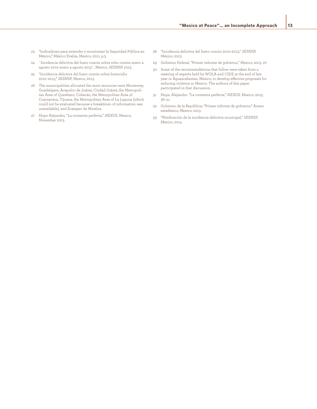- 23 "Indicadores para entender y monitorear la Seguridad Pública en México," México Evalúa, Mexico, 2011, p.3.
- 24 ¨Incidencia delictiva del fuero común sobre robo común enero a agosto 2012–enero a agosto 2013¨, Mexico, *SESNSP,* 2013.
- 25 "Incidencia delictiva del fuero común sobre homicidio 2012–2013," *SESNSP,* Mexico, 2013.
- 26 The municipalities allocated the most resources were Monterrey, Guadalajara, Acapulco de Juárez, Ciudad Juárez, the Metropolitan Area of Querétaro, Culiacán, the Metropolitan Area of Cuernavaca, Tijuana, the Metropolitan Area of La Laguna (which could not be evaluated because a breakdown of information was unavailable), and Ecatepec de Morelos.
- 27 Hope Alejandro, "La tormenta perfecta," *NEXOS,* Mexico, November 2013.
- 28 "Incidencia delictiva del fuero común 2012–2013," *SESNSP,*  México, 2013.
- 29 Gobierno Federal, "Primer informe de gobierno," Mexico, 2013, 27.
- 30 Some of the recommendations that follow were taken from a meeting of experts held by WOLA and CIDE at the end of last year in Aguascalientes, Mexico, to develop effective proposals for reducing violence in Mexico. The authors of this paper participated in that discussion.
- 31 Hope, Alejandro. "La tormenta perfecta," *NEXOS,* Mexico, 2013, 36–41.
- 32 Gobierno de la República, "Primer informe de gobierno," Anexo estadístico, Mexico, 2013.
- 33 "Notificación de la incidencia delictiva municipal," *SESNSP,*  Mexico, 2014.